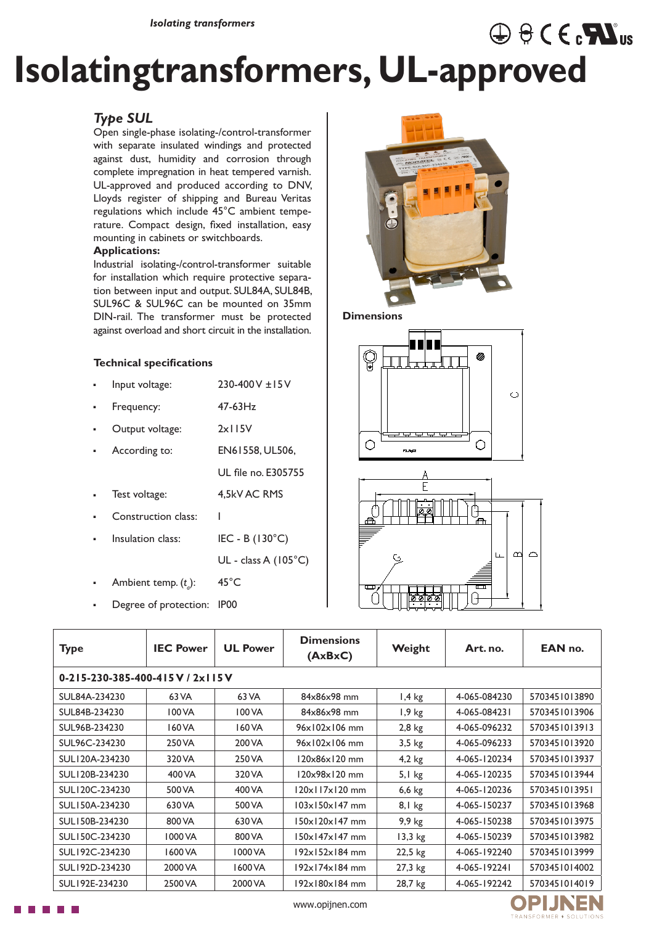# **Isolatingtransformers, UL-approved**

## *Type SUL*

Open single-phase isolating-/control-transformer with separate insulated windings and protected against dust, humidity and corrosion through complete impregnation in heat tempered varnish. UL-approved and produced according to DNV, Lloyds register of shipping and Bureau Veritas regulations which include 45°C ambient temperature. Compact design, fixed installation, easy mounting in cabinets or switchboards.

#### **Applications:**

Industrial isolating-/control-transformer suitable for installation which require protective separation between input and output. SUL84A, SUL84B, SUL96C & SUL96C can be mounted on 35mm DIN-rail. The transformer must be protected against overload and short circuit in the installation.

#### **Technical specifications**

- Input voltage: 230-400 V ±15 V
- Frequency: 47-63Hz
- Output voltage: 2x115V
- According to: EN61558, UL506,
	- UL file no. E305755

I

- Test voltage: 4,5kV AC RMS
- Construction class:
- Insulation class: IEC - B (130°C)

UL - class A (105°C)

- Ambient temp. (*t a* ): 45°C
- **-** Degree of protection: IP00



 $\oplus$   $\ominus$  C  $\in$   $\mathbf{N}$ <sub>us</sub>

**Dimensions**





| <b>Type</b>                                   | <b>IEC Power</b> | <b>UL Power</b> | <b>Dimensions</b><br>(AxBxC)   | Weight   | Art. no.     | EAN no.       |  |  |
|-----------------------------------------------|------------------|-----------------|--------------------------------|----------|--------------|---------------|--|--|
| $0 - 215 - 230 - 385 - 400 - 415$ V / 2x115 V |                  |                 |                                |          |              |               |  |  |
| SUL84A-234230                                 | 63 VA            | 63 VA           | 84x86x98 mm                    | $1,4$ kg | 4-065-084230 | 5703451013890 |  |  |
| SUL84B-234230                                 | 100 VA           | 100 VA          | 84x86x98 mm                    | $1,9$ kg | 4-065-084231 | 5703451013906 |  |  |
| SUL96B-234230                                 | 160 VA           | 160 VA          | $96 \times 102 \times 106$ mm  | $2,8$ kg | 4-065-096232 | 5703451013913 |  |  |
| SUL96C-234230                                 | 250 VA           | 200 VA          | $96 \times 102 \times 106$ mm  | $3,5$ kg | 4-065-096233 | 5703451013920 |  |  |
| SUL120A-234230                                | 320 VA           | 250 VA          | 120x86x120 mm                  | $4,2$ kg | 4-065-120234 | 5703451013937 |  |  |
| SUL120B-234230                                | 400 VA           | 320 VA          | 120x98x120 mm                  | $5,1$ kg | 4-065-120235 | 5703451013944 |  |  |
| SUL120C-234230                                | 500 VA           | 400 VA          | $120 \times 117 \times 120$ mm | $6,6$ kg | 4-065-120236 | 5703451013951 |  |  |
| SUL150A-234230                                | 630 VA           | 500 VA          | $103\times150\times147$ mm     | $8,1$ kg | 4-065-150237 | 5703451013968 |  |  |
| SUL150B-234230                                | 800 VA           | 630 VA          | $150 \times 120 \times 147$ mm | $9,9$ kg | 4-065-150238 | 5703451013975 |  |  |
| SUL150C-234230                                | 1000 VA          | 800 VA          | 150x147x147 mm                 | 13,3 kg  | 4-065-150239 | 5703451013982 |  |  |
| SUL192C-234230                                | 1600 VA          | 1000 VA         | $192\times 152\times 184$ mm   | 22,5 kg  | 4-065-192240 | 5703451013999 |  |  |
| SUL192D-234230                                | 2000 VA          | 1600 VA         | $192\times 174\times 184$ mm   | 27,3 kg  | 4-065-192241 | 5703451014002 |  |  |
| SUL192E-234230                                | 2500 VA          | 2000 VA         | $192\times180\times184$ mm     | 28,7 kg  | 4-065-192242 | 5703451014019 |  |  |

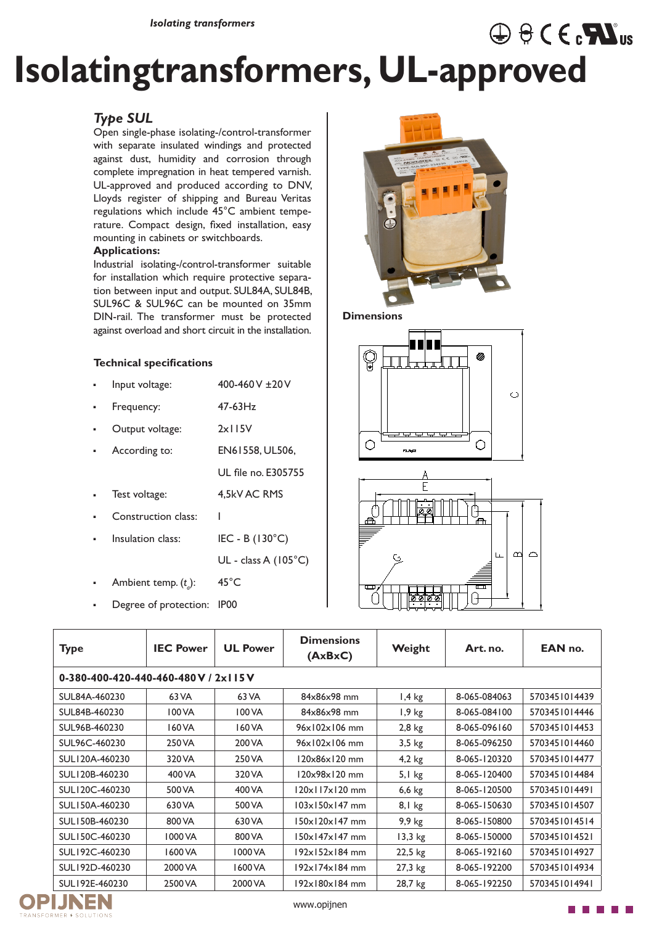# **Isolatingtransformers, UL-approved**

## *Type SUL*

Open single-phase isolating-/control-transformer with separate insulated windings and protected against dust, humidity and corrosion through complete impregnation in heat tempered varnish. UL-approved and produced according to DNV, Lloyds register of shipping and Bureau Veritas regulations which include 45°C ambient temperature. Compact design, fixed installation, easy mounting in cabinets or switchboards.

#### **Applications:**

Industrial isolating-/control-transformer suitable for installation which require protective separation between input and output. SUL84A, SUL84B, SUL96C & SUL96C can be mounted on 35mm DIN-rail. The transformer must be protected against overload and short circuit in the installation.

### **Technical specifications**

- Input voltage: 400-460 V ±20 V
- Frequency: 47-63Hz
- Output voltage: 2x115V
- According to: EN61558, UL506,
	- UL file no. E305755

I

- Test voltage: 4,5kV AC RMS
- Construction class:
- Insulation class: IEC - B (130°C)

UL - class A (105°C)

- Ambient temp. (*t a* ): 45°C
- **-** Degree of protection: IP00



 $\oplus$   $\ominus$  C  $\in$   $\mathbf{N}$ <sub>us</sub>

**Dimensions**





| <b>Type</b>                             | <b>IEC Power</b> | <b>UL Power</b> | <b>Dimensions</b><br>(AxBxC)   | Weight    | Art. no.     | EAN no.       |  |  |
|-----------------------------------------|------------------|-----------------|--------------------------------|-----------|--------------|---------------|--|--|
| 0-380-400-420-440-460-480 V / 2x I IS V |                  |                 |                                |           |              |               |  |  |
| SUL84A-460230                           | 63 VA            | 63 VA           | 84x86x98 mm                    | $1,4$ kg  | 8-065-084063 | 5703451014439 |  |  |
| SUL84B-460230                           | 100 VA           | 100 VA          | 84x86x98 mm                    | $1,9$ kg  | 8-065-084100 | 5703451014446 |  |  |
| SUL96B-460230                           | 160 VA           | 160 VA          | $96x102x106$ mm                | $2,8$ kg  | 8-065-096160 | 5703451014453 |  |  |
| SUL96C-460230                           | 250 VA           | 200 VA          | $96 \times 102 \times 106$ mm  | $3,5$ kg  | 8-065-096250 | 5703451014460 |  |  |
| SUL120A-460230                          | 320 VA           | 250 VA          | 120x86x120 mm                  | $4,2$ kg  | 8-065-120320 | 5703451014477 |  |  |
| SUL120B-460230                          | 400 VA           | 320 VA          | 120x98x120 mm                  | $5,1$ kg  | 8-065-120400 | 5703451014484 |  |  |
| SUL120C-460230                          | 500 VA           | 400 VA          | $120 \times 117 \times 120$ mm | $6,6$ kg  | 8-065-120500 | 5703451014491 |  |  |
| SUL150A-460230                          | 630 VA           | 500 VA          | $103\times150\times147$ mm     | $8,1$ kg  | 8-065-150630 | 5703451014507 |  |  |
| SUL150B-460230                          | 800 VA           | 630 VA          | $150 \times 120 \times 147$ mm | 9,9 kg    | 8-065-150800 | 5703451014514 |  |  |
| SUL150C-460230                          | 1000 VA          | 800 VA          | $150\times147\times147$ mm     | $13,3$ kg | 8-065-150000 | 5703451014521 |  |  |
| SUL192C-460230                          | 1600 VA          | 1000 VA         | 192x152x184 mm                 | 22,5 kg   | 8-065-192160 | 5703451014927 |  |  |
| SUL192D-460230                          | 2000 VA          | 1600 VA         | 192x174x184 mm                 | 27,3 kg   | 8-065-192200 | 5703451014934 |  |  |
| SUL192E-460230                          | 2500 VA          | 2000 VA         | 192x180x184 mm                 | 28,7 kg   | 8-065-192250 | 5703451014941 |  |  |



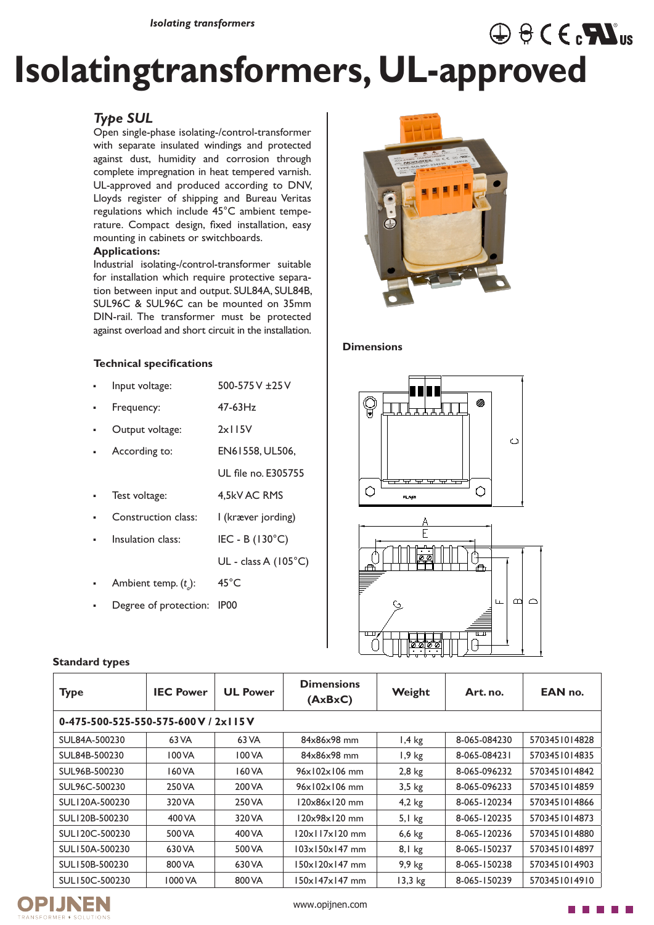# **Isolatingtransformers, UL-approved**

## *Type SUL*

Open single-phase isolating-/control-transformer with separate insulated windings and protected against dust, humidity and corrosion through complete impregnation in heat tempered varnish. UL-approved and produced according to DNV, Lloyds register of shipping and Bureau Veritas regulations which include 45°C ambient temperature. Compact design, fixed installation, easy mounting in cabinets or switchboards.

#### **Applications:**

Industrial isolating-/control-transformer suitable for installation which require protective separation between input and output. SUL84A, SUL84B, SUL96C & SUL96C can be mounted on 35mm DIN-rail. The transformer must be protected against overload and short circuit in the installation.

### **Technical specifications**

- Input voltage: 500-575 V ±25 V
- Frequency: 47-63Hz
- Output voltage: 2x115V
- According to: EN61558, UL506,
- Test voltage: 4,5kV AC RMS
- Construction class: I (kræver jording)
	- Insulation class: IEC - B (130°C)

UL - class A (105°C)

UL file no. E305755

- Ambient temp. (*t a* ): 45°C
- **-** Degree of protection: IP00



 $\oplus$   $\ominus$  C  $\in$   $\mathbf{M}$ <sub>us</sub>

#### **Dimensions**





| <b>Type</b>                                | <b>IEC Power</b> | <b>UL Power</b> | <b>Dimensions</b><br>(AxBxC)   | Weight   | Art. no.     | EAN no.       |
|--------------------------------------------|------------------|-----------------|--------------------------------|----------|--------------|---------------|
| $0-475-500-525-550-575-600$ V / 2x I I 5 V |                  |                 |                                |          |              |               |
| SUL84A-500230                              | 63 VA            | 63 VA           | 84x86x98 mm                    | $1,4$ kg | 8-065-084230 | 5703451014828 |
| SUL84B-500230                              | 100 VA           | 100 VA          | 84x86x98 mm                    | $1,9$ kg | 8-065-084231 | 5703451014835 |
| SUL96B-500230                              | 160 VA           | 160 VA          | $96 \times 102 \times 106$ mm  | $2,8$ kg | 8-065-096232 | 5703451014842 |
| SUL96C-500230                              | 250 VA           | 200 VA          | $96 \times 102 \times 106$ mm  | $3,5$ kg | 8-065-096233 | 5703451014859 |
| SUL120A-500230                             | 320 VA           | 250 VA          | 120x86x120 mm                  | $4,2$ kg | 8-065-120234 | 5703451014866 |
| SUL120B-500230                             | 400 VA           | 320 VA          | 120x98x120 mm                  | $5,1$ kg | 8-065-120235 | 5703451014873 |
| SUL120C-500230                             | 500 VA           | 400 VA          | $120 \times 117 \times 120$ mm | $6,6$ kg | 8-065-120236 | 5703451014880 |
| SUL150A-500230                             | 630 VA           | 500 VA          | $103 \times 150 \times 147$ mm | $8,1$ kg | 8-065-150237 | 5703451014897 |
| SUL150B-500230                             | 800 VA           | 630 VA          | $150 \times 120 \times 147$ mm | $9,9$ kg | 8-065-150238 | 5703451014903 |
| SUL150C-500230                             | 1000 VA          | 800 VA          | 150x147x147 mm                 | 13,3 kg  | 8-065-150239 | 5703451014910 |





### **Standard types**